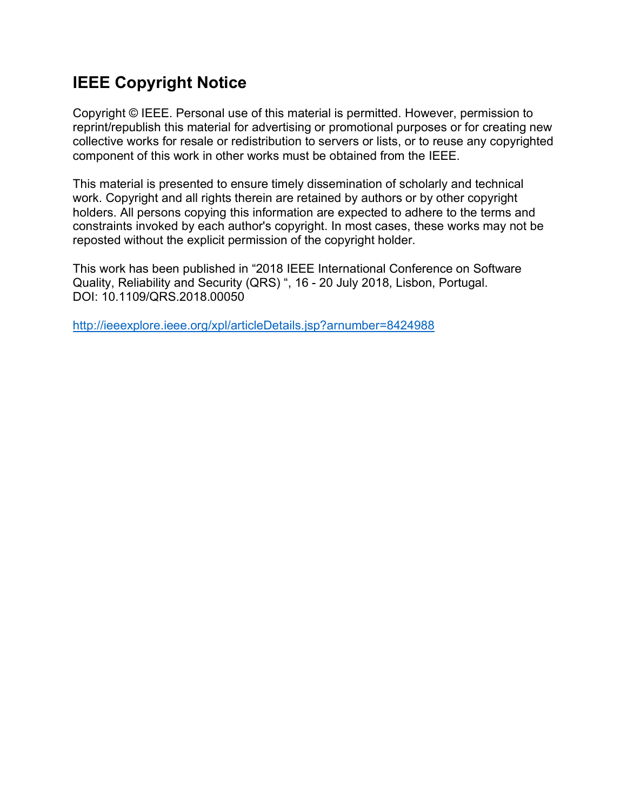# **IEEE Copyright Notice**

Copyright © IEEE. Personal use of this material is permitted. However, permission to reprint/republish this material for advertising or promotional purposes or for creating new collective works for resale or redistribution to servers or lists, or to reuse any copyrighted component of this work in other works must be obtained from the IEEE.

This material is presented to ensure timely dissemination of scholarly and technical work. Copyright and all rights therein are retained by authors or by other copyright holders. All persons copying this information are expected to adhere to the terms and constraints invoked by each author's copyright. In most cases, these works may not be reposted without the explicit permission of the copyright holder.

This work has been published in "2018 IEEE International Conference on Software Quality, Reliability and Security (QRS) ", 16 - 20 July 2018, Lisbon, Portugal. DOI: 10.1109/QRS.2018.00050

http://ieeexplore.ieee.org/xpl/articleDetails.jsp?arnumber=8424988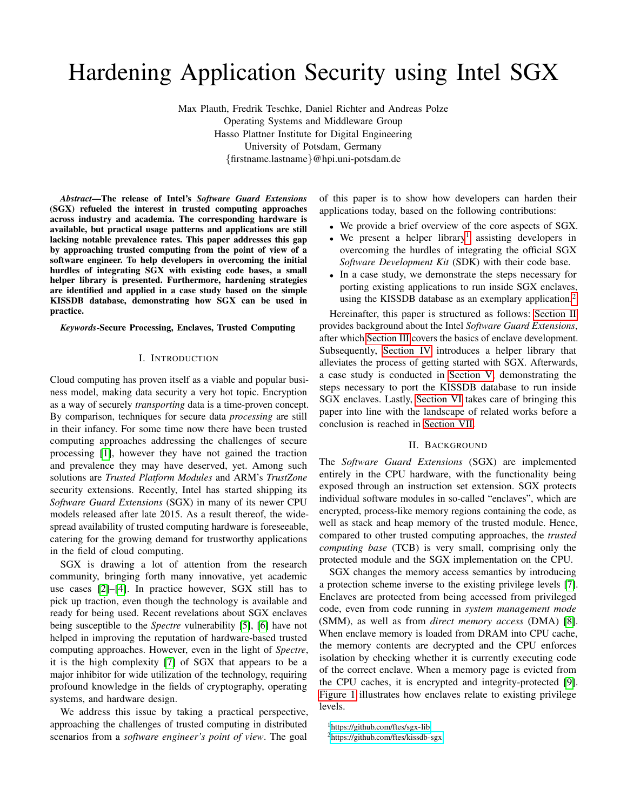# Hardening Application Security using Intel SGX

Max Plauth, Fredrik Teschke, Daniel Richter and Andreas Polze Operating Systems and Middleware Group Hasso Plattner Institute for Digital Engineering University of Potsdam, Germany {firstname.lastname}@hpi.uni-potsdam.de

*Abstract*—The release of Intel's *Software Guard Extensions* (SGX) refueled the interest in trusted computing approaches across industry and academia. The corresponding hardware is available, but practical usage patterns and applications are still lacking notable prevalence rates. This paper addresses this gap by approaching trusted computing from the point of view of a software engineer. To help developers in overcoming the initial hurdles of integrating SGX with existing code bases, a small helper library is presented. Furthermore, hardening strategies are identified and applied in a case study based on the simple KISSDB database, demonstrating how SGX can be used in practice.

*Keywords*-Secure Processing, Enclaves, Trusted Computing

#### I. INTRODUCTION

<span id="page-1-3"></span>Cloud computing has proven itself as a viable and popular business model, making data security a very hot topic. Encryption as a way of securely *transporting* data is a time-proven concept. By comparison, techniques for secure data *processing* are still in their infancy. For some time now there have been trusted computing approaches addressing the challenges of secure processing [\[1\]](#page-6-0), however they have not gained the traction and prevalence they may have deserved, yet. Among such solutions are *Trusted Platform Modules* and ARM's *TrustZone* security extensions. Recently, Intel has started shipping its *Software Guard Extensions* (SGX) in many of its newer CPU models released after late 2015. As a result thereof, the widespread availability of trusted computing hardware is foreseeable, catering for the growing demand for trustworthy applications in the field of cloud computing.

SGX is drawing a lot of attention from the research community, bringing forth many innovative, yet academic use cases [\[2\]](#page-6-1)–[\[4\]](#page-6-2). In practice however, SGX still has to pick up traction, even though the technology is available and ready for being used. Recent revelations about SGX enclaves being susceptible to the *Spectre* vulnerability [\[5\]](#page-6-3), [\[6\]](#page-6-4) have not helped in improving the reputation of hardware-based trusted computing approaches. However, even in the light of *Spectre*, it is the high complexity [\[7\]](#page-6-5) of SGX that appears to be a major inhibitor for wide utilization of the technology, requiring profound knowledge in the fields of cryptography, operating systems, and hardware design.

We address this issue by taking a practical perspective, approaching the challenges of trusted computing in distributed scenarios from a *software engineer's point of view*. The goal

of this paper is to show how developers can harden their applications today, based on the following contributions:

- We provide a brief overview of the core aspects of SGX.
- $\bullet$  We present a helper library<sup>[1](#page-1-0)</sup> assisting developers in overcoming the hurdles of integrating the official SGX *Software Development Kit* (SDK) with their code base.
- In a case study, we demonstrate the steps necessary for porting existing applications to run inside SGX enclaves, using the KISSDB database as an exemplary application.<sup>[2](#page-1-1)</sup>

Hereinafter, this paper is structured as follows: [Section II](#page-1-2) provides background about the Intel *Software Guard Extensions*, after which [Section III](#page-2-0) covers the basics of enclave development. Subsequently, [Section IV](#page-2-1) introduces a helper library that alleviates the process of getting started with SGX. Afterwards, a case study is conducted in [Section V,](#page-4-0) demonstrating the steps necessary to port the KISSDB database to run inside SGX enclaves. Lastly, [Section VI](#page-5-0) takes care of bringing this paper into line with the landscape of related works before a conclusion is reached in [Section VII.](#page-6-6)

# II. BACKGROUND

<span id="page-1-2"></span>The *Software Guard Extensions* (SGX) are implemented entirely in the CPU hardware, with the functionality being exposed through an instruction set extension. SGX protects individual software modules in so-called "enclaves", which are encrypted, process-like memory regions containing the code, as well as stack and heap memory of the trusted module. Hence, compared to other trusted computing approaches, the *trusted computing base* (TCB) is very small, comprising only the protected module and the SGX implementation on the CPU.

SGX changes the memory access semantics by introducing a protection scheme inverse to the existing privilege levels [\[7\]](#page-6-5). Enclaves are protected from being accessed from privileged code, even from code running in *system management mode* (SMM), as well as from *direct memory access* (DMA) [\[8\]](#page-6-7). When enclave memory is loaded from DRAM into CPU cache, the memory contents are decrypted and the CPU enforces isolation by checking whether it is currently executing code of the correct enclave. When a memory page is evicted from the CPU caches, it is encrypted and integrity-protected [\[9\]](#page-6-8). [Figure 1](#page-2-2) illustrates how enclaves relate to existing privilege levels.

<span id="page-1-1"></span><span id="page-1-0"></span><sup>1</sup><https://github.com/ftes/sgx-lib> <sup>2</sup><https://github.com/ftes/kissdb-sgx>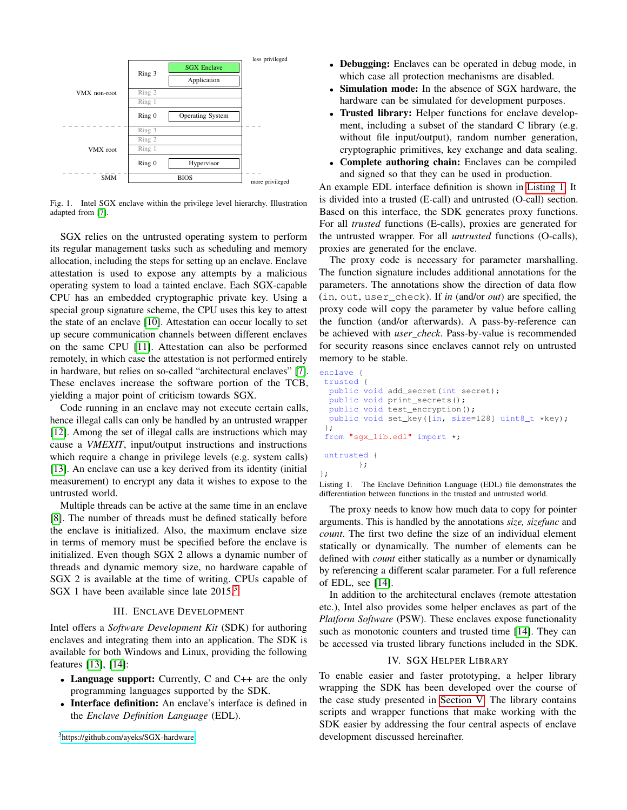

<span id="page-2-2"></span>Fig. 1. Intel SGX enclave within the privilege level hierarchy. Illustration adapted from [\[7\]](#page-6-5).

SGX relies on the untrusted operating system to perform its regular management tasks such as scheduling and memory allocation, including the steps for setting up an enclave. Enclave attestation is used to expose any attempts by a malicious operating system to load a tainted enclave. Each SGX-capable CPU has an embedded cryptographic private key. Using a special group signature scheme, the CPU uses this key to attest the state of an enclave [\[10\]](#page-6-9). Attestation can occur locally to set up secure communication channels between different enclaves on the same CPU [\[11\]](#page-6-10). Attestation can also be performed remotely, in which case the attestation is not performed entirely in hardware, but relies on so-called "architectural enclaves" [\[7\]](#page-6-5). These enclaves increase the software portion of the TCB, yielding a major point of criticism towards SGX.

Code running in an enclave may not execute certain calls, hence illegal calls can only be handled by an untrusted wrapper [\[12\]](#page-6-11). Among the set of illegal calls are instructions which may cause a *VMEXIT*, input/output instructions and instructions which require a change in privilege levels (e.g. system calls) [\[13\]](#page-6-12). An enclave can use a key derived from its identity (initial measurement) to encrypt any data it wishes to expose to the untrusted world.

Multiple threads can be active at the same time in an enclave [\[8\]](#page-6-7). The number of threads must be defined statically before the enclave is initialized. Also, the maximum enclave size in terms of memory must be specified before the enclave is initialized. Even though SGX 2 allows a dynamic number of threads and dynamic memory size, no hardware capable of SGX 2 is available at the time of writing. CPUs capable of SGX 1 have been available since late  $2015$ .<sup>[3](#page-2-3)</sup>

# III. ENCLAVE DEVELOPMENT

<span id="page-2-0"></span>Intel offers a *Software Development Kit* (SDK) for authoring enclaves and integrating them into an application. The SDK is available for both Windows and Linux, providing the following features [\[13\]](#page-6-12), [\[14\]](#page-6-13):

- Language support: Currently, C and C++ are the only programming languages supported by the SDK.
- Interface definition: An enclave's interface is defined in the *Enclave Definition Language* (EDL).

<span id="page-2-3"></span><sup>3</sup><https://github.com/ayeks/SGX-hardware>

- Debugging: Enclaves can be operated in debug mode, in which case all protection mechanisms are disabled.
- Simulation mode: In the absence of SGX hardware, the hardware can be simulated for development purposes.
- Trusted library: Helper functions for enclave development, including a subset of the standard C library (e.g. without file input/output), random number generation, cryptographic primitives, key exchange and data sealing.
- Complete authoring chain: Enclaves can be compiled and signed so that they can be used in production.

An example EDL interface definition is shown in [Listing 1.](#page-2-4) It is divided into a trusted (E-call) and untrusted (O-call) section. Based on this interface, the SDK generates proxy functions. For all *trusted* functions (E-calls), proxies are generated for the untrusted wrapper. For all *untrusted* functions (O-calls), proxies are generated for the enclave.

The proxy code is necessary for parameter marshalling. The function signature includes additional annotations for the parameters. The annotations show the direction of data flow (in, out, user\_check). If *in* (and/or *out*) are specified, the proxy code will copy the parameter by value before calling the function (and/or afterwards). A pass-by-reference can be achieved with *user check*. Pass-by-value is recommended for security reasons since enclaves cannot rely on untrusted memory to be stable.

```
enclave {
trusted {
 public void add_secret(int secret);
  public void print_secrets();
  public void test_encryption();
 public void set_key([in, size=128] uint8_t *key);
 };
 from "sgx_lib.edl" import *;
untrusted {
        };
};
```
Listing 1. The Enclave Definition Language (EDL) file demonstrates the differentiation between functions in the trusted and untrusted world.

The proxy needs to know how much data to copy for pointer arguments. This is handled by the annotations *size, sizefunc* and *count*. The first two define the size of an individual element statically or dynamically. The number of elements can be defined with *count* either statically as a number or dynamically by referencing a different scalar parameter. For a full reference of EDL, see [\[14\]](#page-6-13).

In addition to the architectural enclaves (remote attestation etc.), Intel also provides some helper enclaves as part of the *Platform Software* (PSW). These enclaves expose functionality such as monotonic counters and trusted time [\[14\]](#page-6-13). They can be accessed via trusted library functions included in the SDK.

# IV. SGX HELPER LIBRARY

<span id="page-2-1"></span>To enable easier and faster prototyping, a helper library wrapping the SDK has been developed over the course of the case study presented in [Section V.](#page-4-0) The library contains scripts and wrapper functions that make working with the SDK easier by addressing the four central aspects of enclave development discussed hereinafter.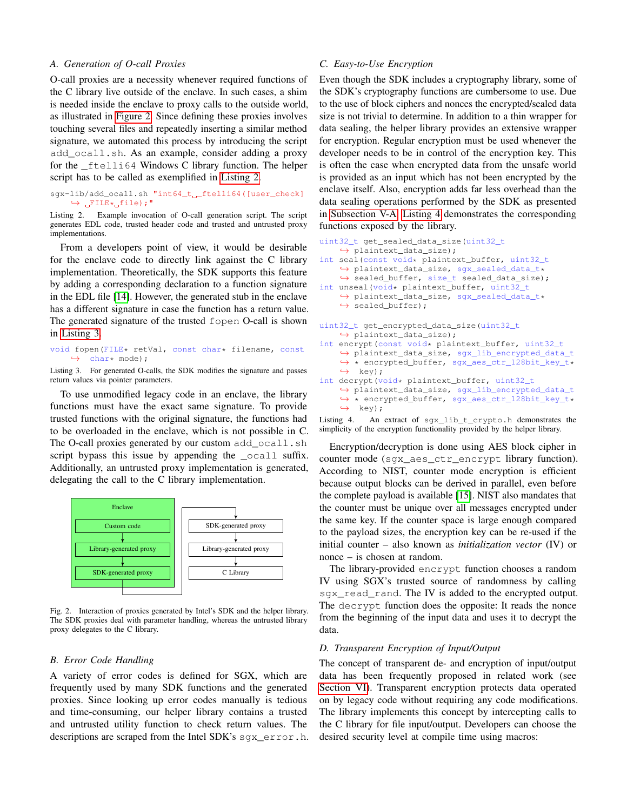#### *A. Generation of O-call Proxies*

O-call proxies are a necessity whenever required functions of the C library live outside of the enclave. In such cases, a shim is needed inside the enclave to proxy calls to the outside world, as illustrated in [Figure 2.](#page-3-0) Since defining these proxies involves touching several files and repeatedly inserting a similar method signature, we automated this process by introducing the script add\_ocall.sh. As an example, consider adding a proxy for the \_ftelli64 Windows C library function. The helper script has to be called as exemplified in [Listing 2.](#page-3-1)

<span id="page-3-1"></span>sgx-lib/add\_ocall.sh "int64\_t \_\_ ftelli64([user\_check]  $\hookrightarrow$   $\mathsf{JFILE} \star \mathsf{Jfile}$ ;"

Listing 2. Example invocation of O-call generation script. The script generates EDL code, trusted header code and trusted and untrusted proxy implementations.

From a developers point of view, it would be desirable for the enclave code to directly link against the C library implementation. Theoretically, the SDK supports this feature by adding a corresponding declaration to a function signature in the EDL file [\[14\]](#page-6-13). However, the generated stub in the enclave has a different signature in case the function has a return value. The generated signature of the trusted fopen O-call is shown in [Listing 3.](#page-3-2)

<span id="page-3-2"></span>void fopen(FILE\* retVal, const char\* filename, const ,→ char\* mode);

Listing 3. For generated O-calls, the SDK modifies the signature and passes return values via pointer parameters.

To use unmodified legacy code in an enclave, the library functions must have the exact same signature. To provide trusted functions with the original signature, the functions had to be overloaded in the enclave, which is not possible in C. The O-call proxies generated by our custom add\_ocall.sh script bypass this issue by appending the  $\text{\_\text{ocall}}$  suffix. Additionally, an untrusted proxy implementation is generated, delegating the call to the C library implementation.



<span id="page-3-0"></span>Fig. 2. Interaction of proxies generated by Intel's SDK and the helper library. The SDK proxies deal with parameter handling, whereas the untrusted library proxy delegates to the C library.

#### *B. Error Code Handling*

A variety of error codes is defined for SGX, which are frequently used by many SDK functions and the generated proxies. Since looking up error codes manually is tedious and time-consuming, our helper library contains a trusted and untrusted utility function to check return values. The descriptions are scraped from the Intel SDK's sgx\_error.h.

# *C. Easy-to-Use Encryption*

Even though the SDK includes a cryptography library, some of the SDK's cryptography functions are cumbersome to use. Due to the use of block ciphers and nonces the encrypted/sealed data size is not trivial to determine. In addition to a thin wrapper for data sealing, the helper library provides an extensive wrapper for encryption. Regular encryption must be used whenever the developer needs to be in control of the encryption key. This is often the case when encrypted data from the unsafe world is provided as an input which has not been encrypted by the enclave itself. Also, encryption adds far less overhead than the data sealing operations performed by the SDK as presented in [Subsection](#page-4-1) V-A. [Listing 4](#page-3-3) demonstrates the corresponding functions exposed by the library.

```
uint32_t get_sealed_data_size(uint32_t
    ,→ plaintext_data_size);
int seal(const void* plaintext_buffer, uint32_t
    ,→ plaintext_data_size, sgx_sealed_data_t*
    ,→ sealed_buffer, size_t sealed_data_size);
int unseal(void* plaintext_buffer, uint32_t
    ,→ plaintext_data_size, sgx_sealed_data_t*
    \leftrightarrow sealed_buffer);
uint32_t get_encrypted_data_size(uint32_t
    ,→ plaintext_data_size);
int encrypt (const void* plaintext_buffer, uint32_t
    ,→ plaintext_data_size, sgx_lib_encrypted_data_t
    ,→ * encrypted_buffer, sgx_aes_ctr_128bit_key_t*
    ,→ key);
int decrypt(void* plaintext_buffer, uint32_t
    ,→ plaintext_data_size, sgx_lib_encrypted_data_t
    ,→ * encrypted_buffer, sgx_aes_ctr_128bit_key_t*
    \leftrightarrow key);
```
Listing 4. An extract of sgx\_lib\_t\_crypto.h demonstrates the simplicity of the encryption functionality provided by the helper library.

Encryption/decryption is done using AES block cipher in counter mode (sgx\_aes\_ctr\_encrypt library function). According to NIST, counter mode encryption is efficient because output blocks can be derived in parallel, even before the complete payload is available [\[15\]](#page-6-14). NIST also mandates that the counter must be unique over all messages encrypted under the same key. If the counter space is large enough compared to the payload sizes, the encryption key can be re-used if the initial counter – also known as *initialization vector* (IV) or nonce – is chosen at random.

The library-provided encrypt function chooses a random IV using SGX's trusted source of randomness by calling sgx\_read\_rand. The IV is added to the encrypted output. The decrypt function does the opposite: It reads the nonce from the beginning of the input data and uses it to decrypt the data.

# *D. Transparent Encryption of Input/Output*

The concept of transparent de- and encryption of input/output data has been frequently proposed in related work (see [Section VI\)](#page-5-0). Transparent encryption protects data operated on by legacy code without requiring any code modifications. The library implements this concept by intercepting calls to the C library for file input/output. Developers can choose the desired security level at compile time using macros: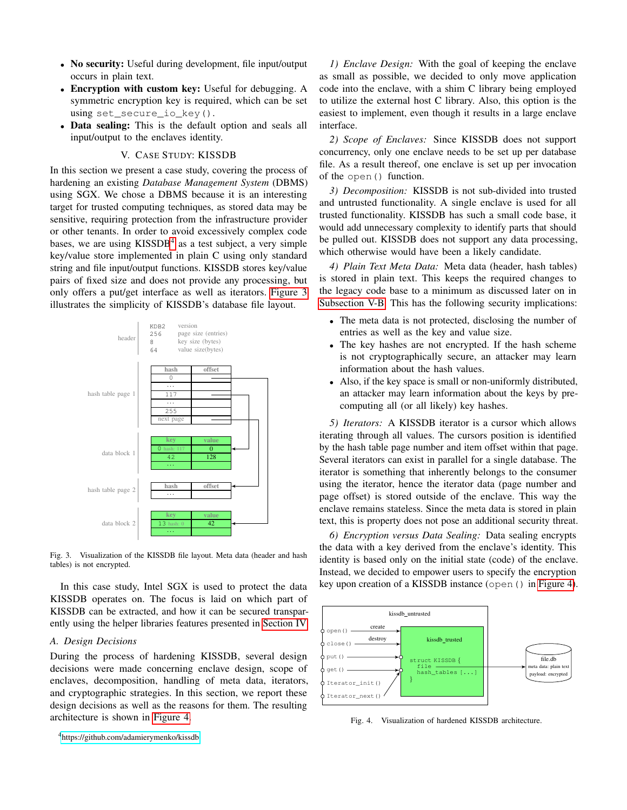- No security: Useful during development, file input/output occurs in plain text.
- Encryption with custom key: Useful for debugging. A symmetric encryption key is required, which can be set using set\_secure\_io\_key().
- Data sealing: This is the default option and seals all input/output to the enclaves identity.

#### V. CASE STUDY: KISSDB

<span id="page-4-0"></span>In this section we present a case study, covering the process of hardening an existing *Database Management System* (DBMS) using SGX. We chose a DBMS because it is an interesting target for trusted computing techniques, as stored data may be sensitive, requiring protection from the infrastructure provider or other tenants. In order to avoid excessively complex code bases, we are using KISSDB<sup>[4](#page-4-2)</sup> as a test subject, a very simple key/value store implemented in plain C using only standard string and file input/output functions. KISSDB stores key/value pairs of fixed size and does not provide any processing, but only offers a put/get interface as well as iterators. [Figure 3](#page-4-3) illustrates the simplicity of KISSDB's database file layout.



<span id="page-4-3"></span>Fig. 3. Visualization of the KISSDB file layout. Meta data (header and hash tables) is not encrypted.

In this case study, Intel SGX is used to protect the data KISSDB operates on. The focus is laid on which part of KISSDB can be extracted, and how it can be secured transparently using the helper libraries features presented in [Section IV.](#page-2-1)

# <span id="page-4-1"></span>*A. Design Decisions*

During the process of hardening KISSDB, several design decisions were made concerning enclave design, scope of enclaves, decomposition, handling of meta data, iterators, and cryptographic strategies. In this section, we report these design decisions as well as the reasons for them. The resulting architecture is shown in [Figure 4.](#page-4-4)

*1) Enclave Design:* With the goal of keeping the enclave as small as possible, we decided to only move application code into the enclave, with a shim C library being employed to utilize the external host C library. Also, this option is the easiest to implement, even though it results in a large enclave interface.

*2) Scope of Enclaves:* Since KISSDB does not support concurrency, only one enclave needs to be set up per database file. As a result thereof, one enclave is set up per invocation of the open() function.

*3) Decomposition:* KISSDB is not sub-divided into trusted and untrusted functionality. A single enclave is used for all trusted functionality. KISSDB has such a small code base, it would add unnecessary complexity to identify parts that should be pulled out. KISSDB does not support any data processing, which otherwise would have been a likely candidate.

*4) Plain Text Meta Data:* Meta data (header, hash tables) is stored in plain text. This keeps the required changes to the legacy code base to a minimum as discussed later on in [Subsection V-B.](#page-5-1) This has the following security implications:

- The meta data is not protected, disclosing the number of entries as well as the key and value size.
- The key hashes are not encrypted. If the hash scheme is not cryptographically secure, an attacker may learn information about the hash values.
- Also, if the key space is small or non-uniformly distributed, an attacker may learn information about the keys by precomputing all (or all likely) key hashes.

*5) Iterators:* A KISSDB iterator is a cursor which allows iterating through all values. The cursors position is identified by the hash table page number and item offset within that page. Several iterators can exist in parallel for a single database. The iterator is something that inherently belongs to the consumer using the iterator, hence the iterator data (page number and page offset) is stored outside of the enclave. This way the enclave remains stateless. Since the meta data is stored in plain text, this is property does not pose an additional security threat.

*6) Encryption versus Data Sealing:* Data sealing encrypts the data with a key derived from the enclave's identity. This identity is based only on the initial state (code) of the enclave. Instead, we decided to empower users to specify the encryption key upon creation of a KISSDB instance (open() in [Figure 4\)](#page-4-4).



<span id="page-4-4"></span>Fig. 4. Visualization of hardened KISSDB architecture.

<span id="page-4-2"></span><sup>4</sup><https://github.com/adamierymenko/kissdb>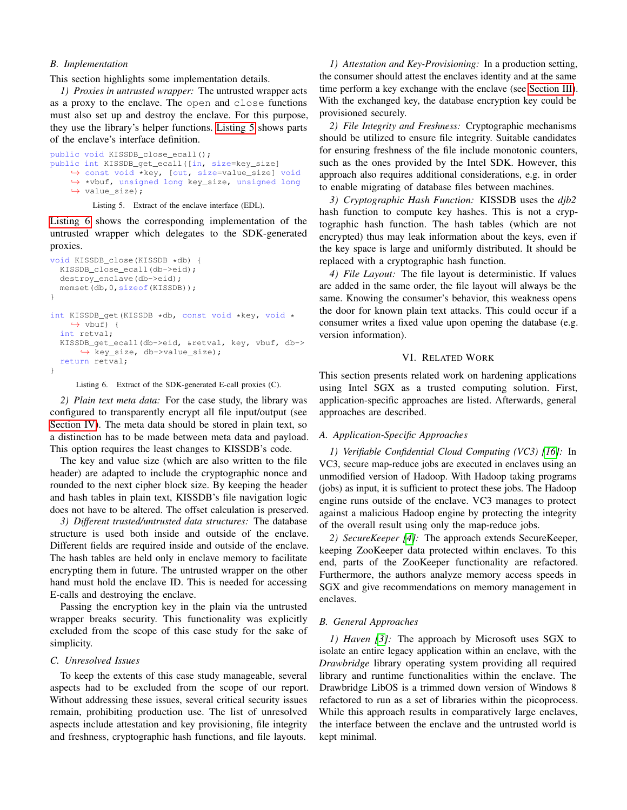#### <span id="page-5-1"></span>*B. Implementation*

This section highlights some implementation details.

*1) Proxies in untrusted wrapper:* The untrusted wrapper acts as a proxy to the enclave. The open and close functions must also set up and destroy the enclave. For this purpose, they use the library's helper functions. [Listing 5](#page-5-2) shows parts of the enclave's interface definition.

```
public void KISSDB_close_ecall();
public int KISSDB_get_ecall([in, size=key_size]
    ,→ const void *key, [out, size=value_size] void
   ,→ *vbuf, unsigned long key_size, unsigned long
   ,→ value_size);
```
Listing 5. Extract of the enclave interface (EDL).

[Listing 6](#page-5-3) shows the corresponding implementation of the untrusted wrapper which delegates to the SDK-generated proxies.

```
void KISSDB_close(KISSDB *db) {
  KISSDB_close_ecall(db->eid);
  destroy enclave(db->eid);
  memset(db, 0, sizeof(KISSDB));
}
int KISSDB_get(KISSDB *db, const void *key, void *
    \leftrightarrow vbuf) {
  int retval;
  KISSDB_get_ecall(db->eid, &retval, key, vbuf, db->
      ,→ key_size, db->value_size);
  return retval;
}
```
Listing 6. Extract of the SDK-generated E-call proxies (C).

*2) Plain text meta data:* For the case study, the library was configured to transparently encrypt all file input/output (see [Section IV\)](#page-2-1). The meta data should be stored in plain text, so a distinction has to be made between meta data and payload. This option requires the least changes to KISSDB's code.

The key and value size (which are also written to the file header) are adapted to include the cryptographic nonce and rounded to the next cipher block size. By keeping the header and hash tables in plain text, KISSDB's file navigation logic does not have to be altered. The offset calculation is preserved.

*3) Different trusted/untrusted data structures:* The database structure is used both inside and outside of the enclave. Different fields are required inside and outside of the enclave. The hash tables are held only in enclave memory to facilitate encrypting them in future. The untrusted wrapper on the other hand must hold the enclave ID. This is needed for accessing E-calls and destroying the enclave.

Passing the encryption key in the plain via the untrusted wrapper breaks security. This functionality was explicitly excluded from the scope of this case study for the sake of simplicity.

# *C. Unresolved Issues*

To keep the extents of this case study manageable, several aspects had to be excluded from the scope of our report. Without addressing these issues, several critical security issues remain, prohibiting production use. The list of unresolved aspects include attestation and key provisioning, file integrity and freshness, cryptographic hash functions, and file layouts.

*1) Attestation and Key-Provisioning:* In a production setting, the consumer should attest the enclaves identity and at the same time perform a key exchange with the enclave (see [Section III\)](#page-2-0). With the exchanged key, the database encryption key could be provisioned securely.

*2) File Integrity and Freshness:* Cryptographic mechanisms should be utilized to ensure file integrity. Suitable candidates for ensuring freshness of the file include monotonic counters, such as the ones provided by the Intel SDK. However, this approach also requires additional considerations, e.g. in order to enable migrating of database files between machines.

*3) Cryptographic Hash Function:* KISSDB uses the *djb2* hash function to compute key hashes. This is not a cryptographic hash function. The hash tables (which are not encrypted) thus may leak information about the keys, even if the key space is large and uniformly distributed. It should be replaced with a cryptographic hash function.

*4) File Layout:* The file layout is deterministic. If values are added in the same order, the file layout will always be the same. Knowing the consumer's behavior, this weakness opens the door for known plain text attacks. This could occur if a consumer writes a fixed value upon opening the database (e.g. version information).

#### VI. RELATED WORK

<span id="page-5-0"></span>This section presents related work on hardening applications using Intel SGX as a trusted computing solution. First, application-specific approaches are listed. Afterwards, general approaches are described.

#### *A. Application-Specific Approaches*

*1) Verifiable Confidential Cloud Computing (VC3) [\[16\]](#page-6-15):* In VC3, secure map-reduce jobs are executed in enclaves using an unmodified version of Hadoop. With Hadoop taking programs (jobs) as input, it is sufficient to protect these jobs. The Hadoop engine runs outside of the enclave. VC3 manages to protect against a malicious Hadoop engine by protecting the integrity of the overall result using only the map-reduce jobs.

*2) SecureKeeper [\[4\]](#page-6-2):* The approach extends SecureKeeper, keeping ZooKeeper data protected within enclaves. To this end, parts of the ZooKeeper functionality are refactored. Furthermore, the authors analyze memory access speeds in SGX and give recommendations on memory management in enclaves.

#### *B. General Approaches*

*1) Haven [\[3\]](#page-6-16):* The approach by Microsoft uses SGX to isolate an entire legacy application within an enclave, with the *Drawbridge* library operating system providing all required library and runtime functionalities within the enclave. The Drawbridge LibOS is a trimmed down version of Windows 8 refactored to run as a set of libraries within the picoprocess. While this approach results in comparatively large enclaves, the interface between the enclave and the untrusted world is kept minimal.